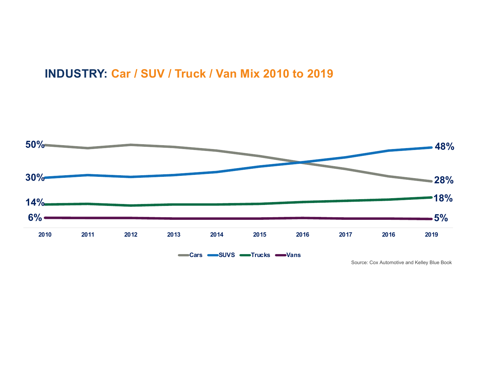# **INDUSTRY: Car / SUV / Truck / Van Mix 2010 to 2019**



**Cars SUVS Trucks Wans**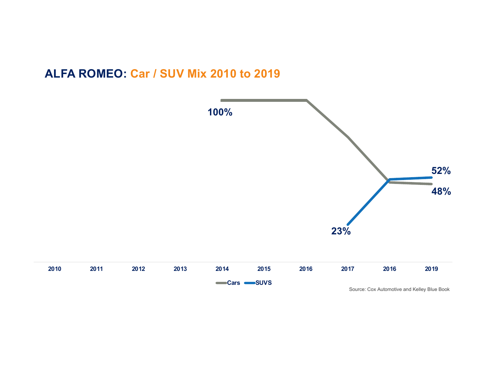## **ALFA ROMEO: Car / SUV Mix 2010 to 2019**

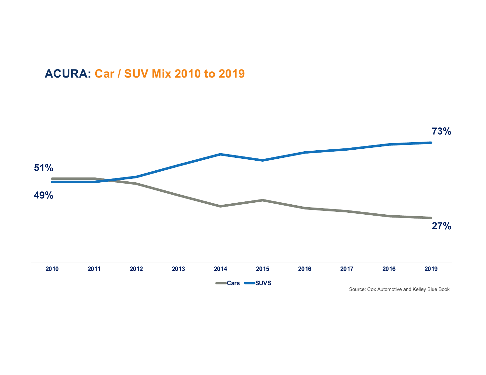# **ACURA: Car / SUV Mix 2010 to 2019**

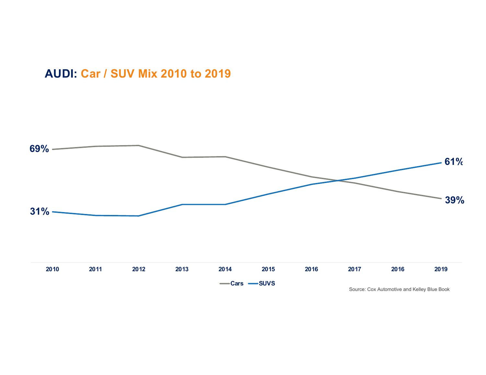## **AUDI: Car / SUV Mix 2010 to 2019**

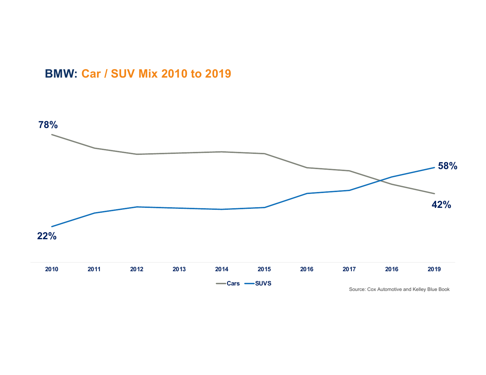### **BMW: Car / SUV Mix 2010 to 2019**

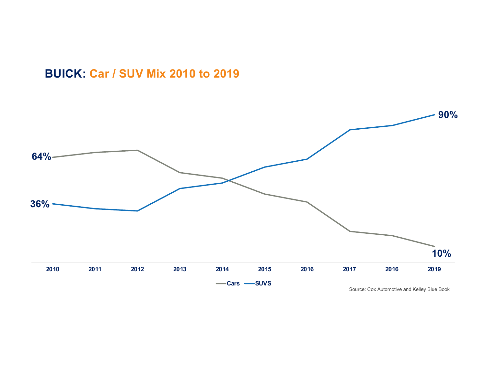# **BUICK: Car / SUV Mix 2010 to 2019**

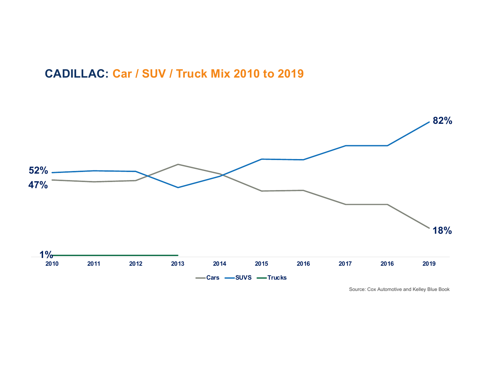# **CADILLAC: Car / SUV / Truck Mix 2010 to 2019**

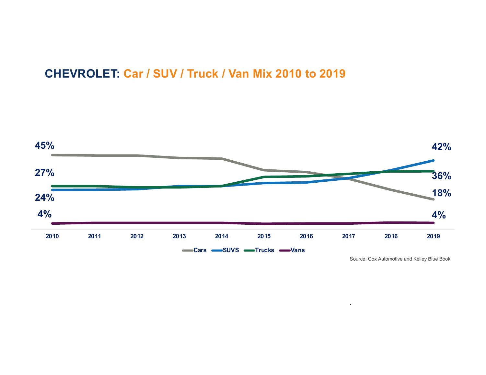### **CHEVROLET: Car / SUV / Truck / Van Mix 2010 to 2019**



Source: Cox Automotive and Kelley Blue Book

• Source: Cox Automotive and KBB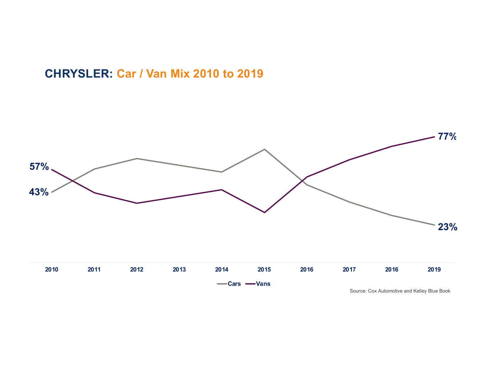### **CHRYSLER: Car / Van Mix 2010 to 2019**

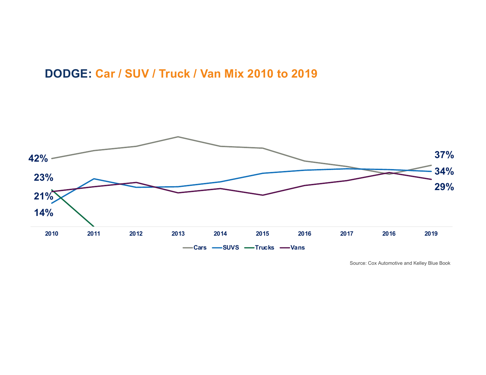#### **DODGE: Car / SUV / Truck / Van Mix 2010 to 2019**



Source: Cox Automotive and Kelley Blue Book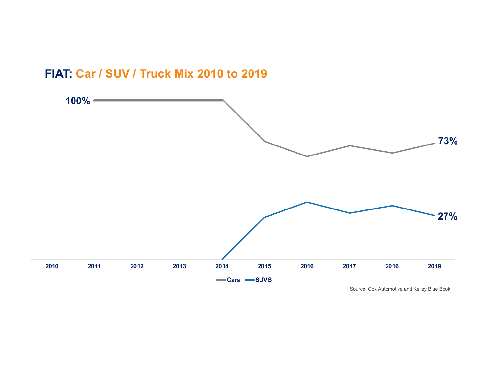

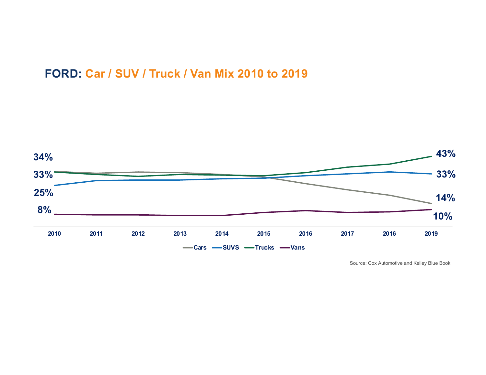# **FORD: Car / SUV / Truck / Van Mix 2010 to 2019**



Source: Cox Automotive and Kelley Blue Book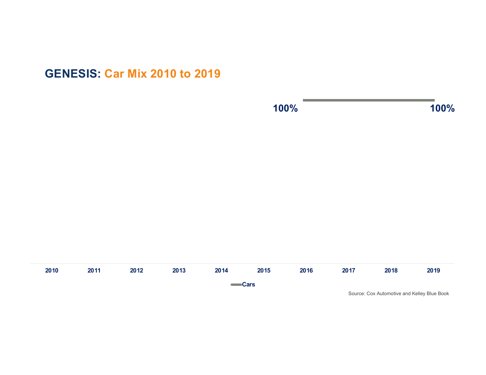# **GENESIS: Car Mix 2010 to 2019**



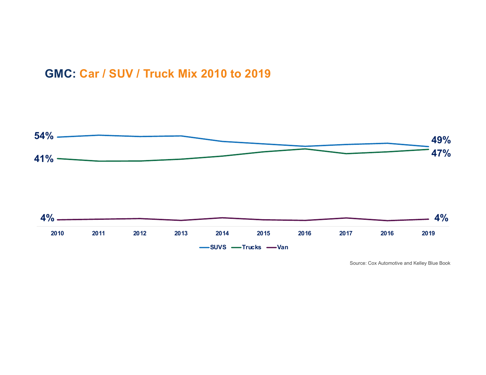### **GMC: Car / SUV / Truck Mix 2010 to 2019**

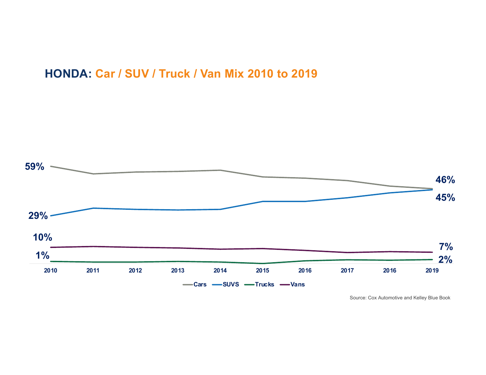**HONDA: Car / SUV / Truck / Van Mix 2010 to 2019**

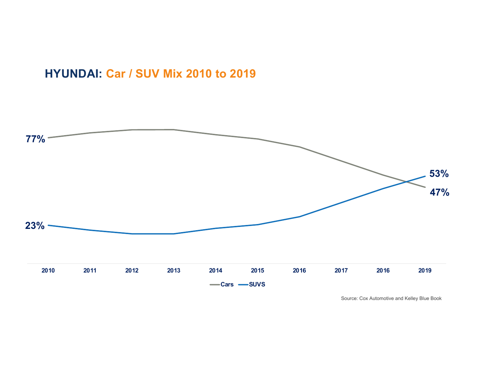# **HYUNDAI: Car / SUV Mix 2010 to 2019**



Source: Cox Automotive and Kelley Blue Book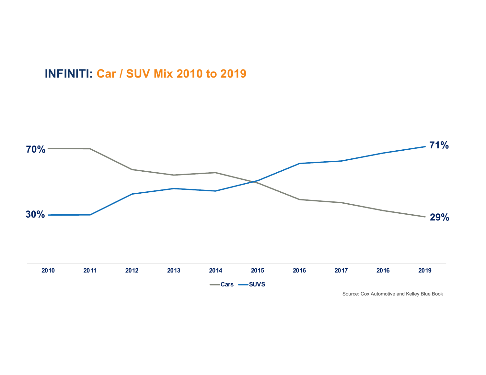#### **INFINITI: Car / SUV Mix 2010 to 2019**

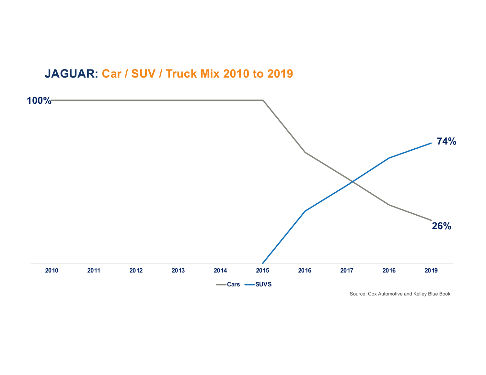# **JAGUAR: Car / SUV / Truck Mix 2010 to 2019**

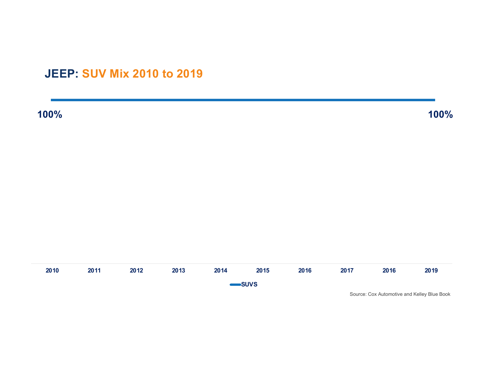## **JEEP: SUV Mix 2010 to 2019**

**100% 100%**

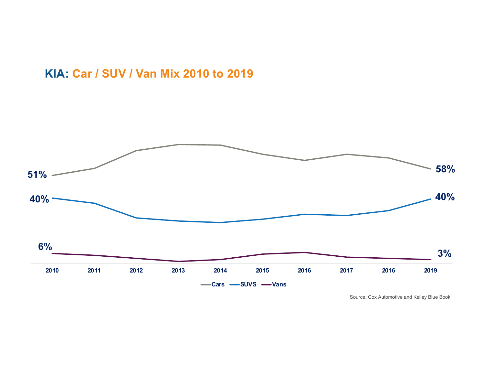#### **KIA: Car / SUV / Van Mix 2010 to 2019**



Source: Cox Automotive and Kelley Blue Book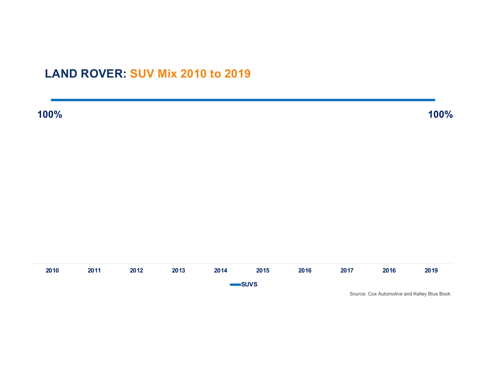# **LAND ROVER: SUV Mix 2010 to 2019**

**100% 100%**

![](_page_20_Figure_3.jpeg)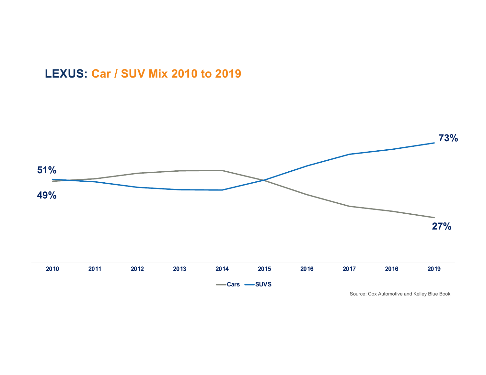![](_page_21_Figure_0.jpeg)

![](_page_21_Figure_1.jpeg)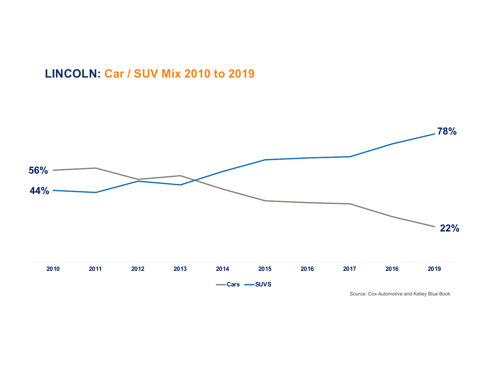#### **LINCOLN: Car / SUV Mix 2010 to 2019**

![](_page_22_Figure_1.jpeg)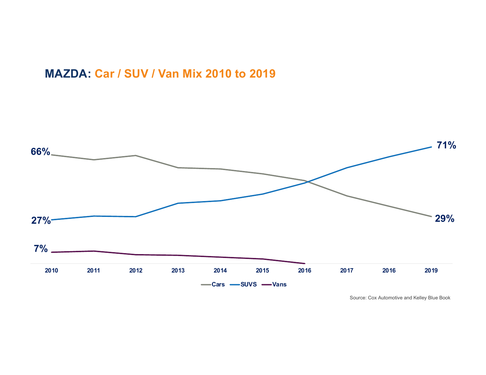#### **MAZDA: Car / SUV / Van Mix 2010 to 2019**

![](_page_23_Figure_1.jpeg)

Source: Cox Automotive and Kelley Blue Book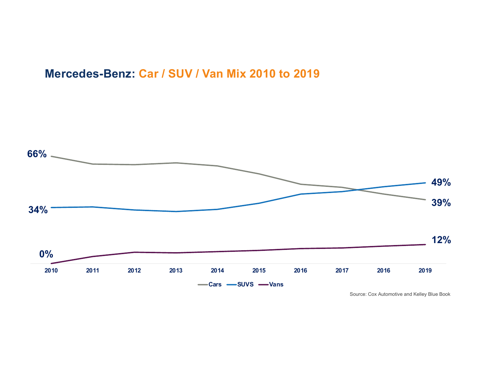#### **Mercedes-Benz: Car / SUV / Van Mix 2010 to 2019**

![](_page_24_Figure_1.jpeg)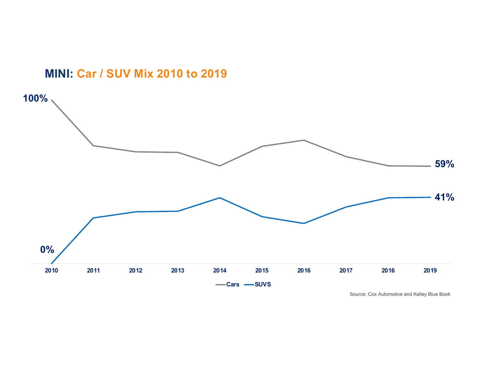![](_page_25_Figure_0.jpeg)

![](_page_25_Figure_1.jpeg)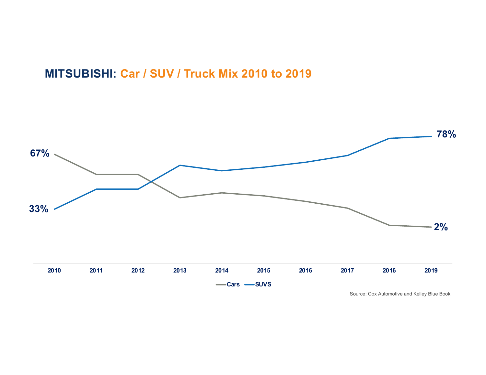## **MITSUBISHI: Car / SUV / Truck Mix 2010 to 2019**

![](_page_26_Figure_1.jpeg)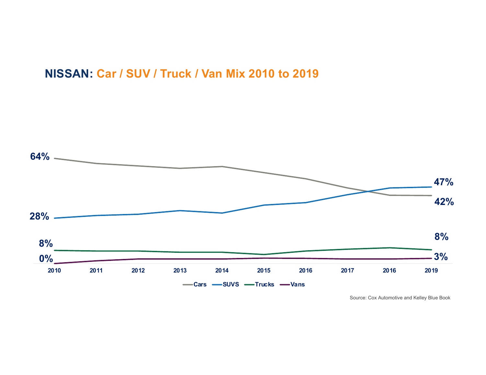# **NISSAN: Car / SUV / Truck / Van Mix 2010 to 2019**

![](_page_27_Figure_1.jpeg)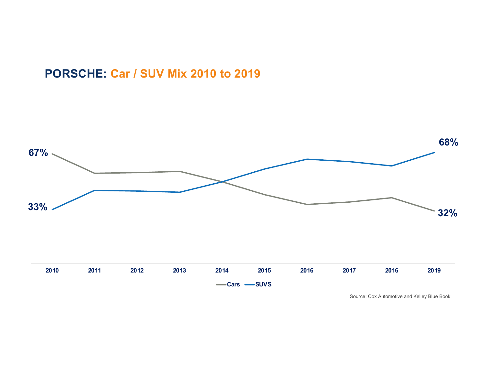## **PORSCHE: Car / SUV Mix 2010 to 2019**

![](_page_28_Figure_1.jpeg)

Source: Cox Automotive and Kelley Blue Book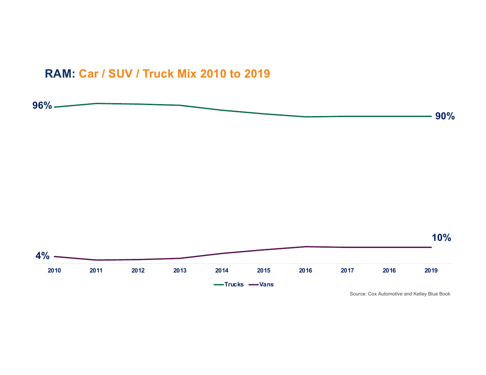### **RAM: Car / SUV / Truck Mix 2010 to 2019**

![](_page_29_Figure_1.jpeg)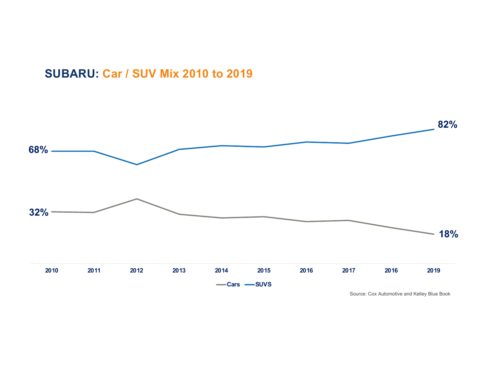#### **SUBARU: Car / SUV Mix 2010 to 2019**

![](_page_30_Figure_1.jpeg)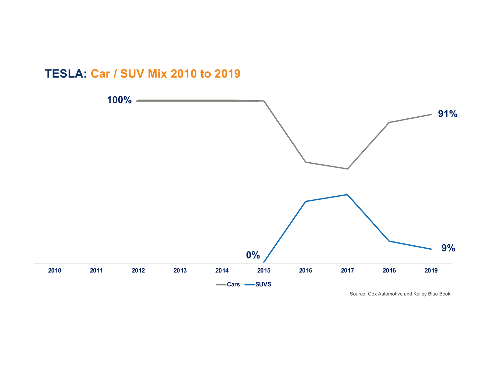![](_page_31_Figure_0.jpeg)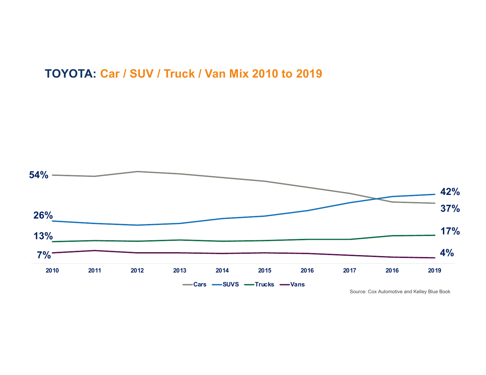**TOYOTA: Car / SUV / Truck / Van Mix 2010 to 2019**

![](_page_32_Figure_1.jpeg)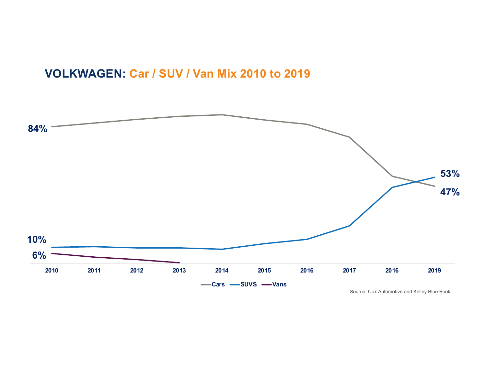### **VOLKWAGEN: Car / SUV / Van Mix 2010 to 2019**

![](_page_33_Figure_1.jpeg)